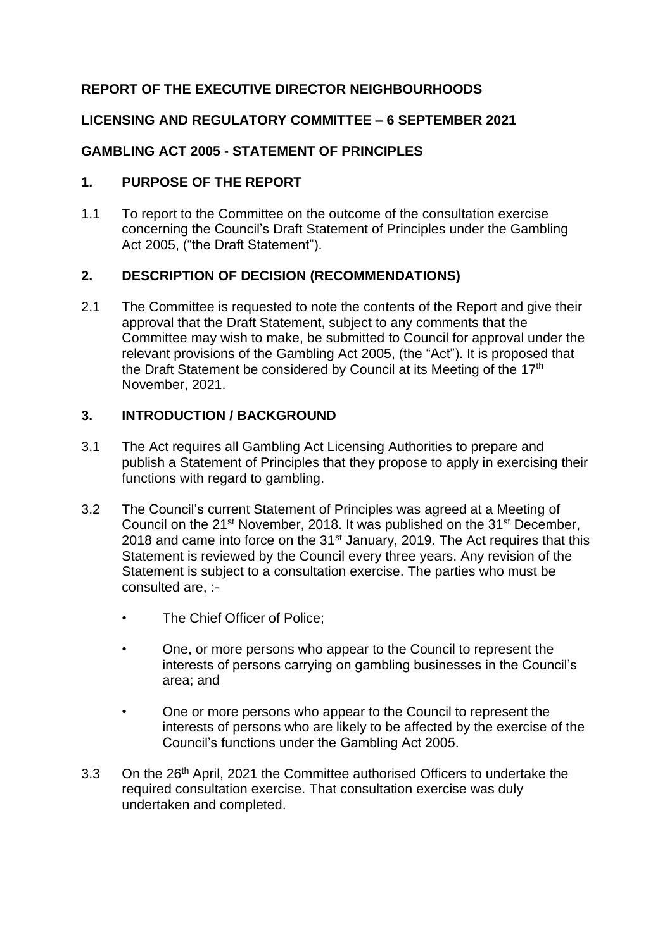# **REPORT OF THE EXECUTIVE DIRECTOR NEIGHBOURHOODS**

#### **LICENSING AND REGULATORY COMMITTEE – 6 SEPTEMBER 2021**

# **GAMBLING ACT 2005 - STATEMENT OF PRINCIPLES**

#### **1. PURPOSE OF THE REPORT**

1.1 To report to the Committee on the outcome of the consultation exercise concerning the Council's Draft Statement of Principles under the Gambling Act 2005, ("the Draft Statement").

#### **2. DESCRIPTION OF DECISION (RECOMMENDATIONS)**

2.1 The Committee is requested to note the contents of the Report and give their approval that the Draft Statement, subject to any comments that the Committee may wish to make, be submitted to Council for approval under the relevant provisions of the Gambling Act 2005, (the "Act"). It is proposed that the Draft Statement be considered by Council at its Meeting of the 17<sup>th</sup> November, 2021.

# **3. INTRODUCTION / BACKGROUND**

- 3.1 The Act requires all Gambling Act Licensing Authorities to prepare and publish a Statement of Principles that they propose to apply in exercising their functions with regard to gambling.
- 3.2 The Council's current Statement of Principles was agreed at a Meeting of Council on the 21<sup>st</sup> November, 2018. It was published on the 31<sup>st</sup> December, 2018 and came into force on the  $31<sup>st</sup>$  January, 2019. The Act requires that this Statement is reviewed by the Council every three years. Any revision of the Statement is subject to a consultation exercise. The parties who must be consulted are, :-
	- The Chief Officer of Police;
	- One, or more persons who appear to the Council to represent the interests of persons carrying on gambling businesses in the Council's area; and
	- One or more persons who appear to the Council to represent the interests of persons who are likely to be affected by the exercise of the Council's functions under the Gambling Act 2005.
- 3.3 On the 26<sup>th</sup> April, 2021 the Committee authorised Officers to undertake the required consultation exercise. That consultation exercise was duly undertaken and completed.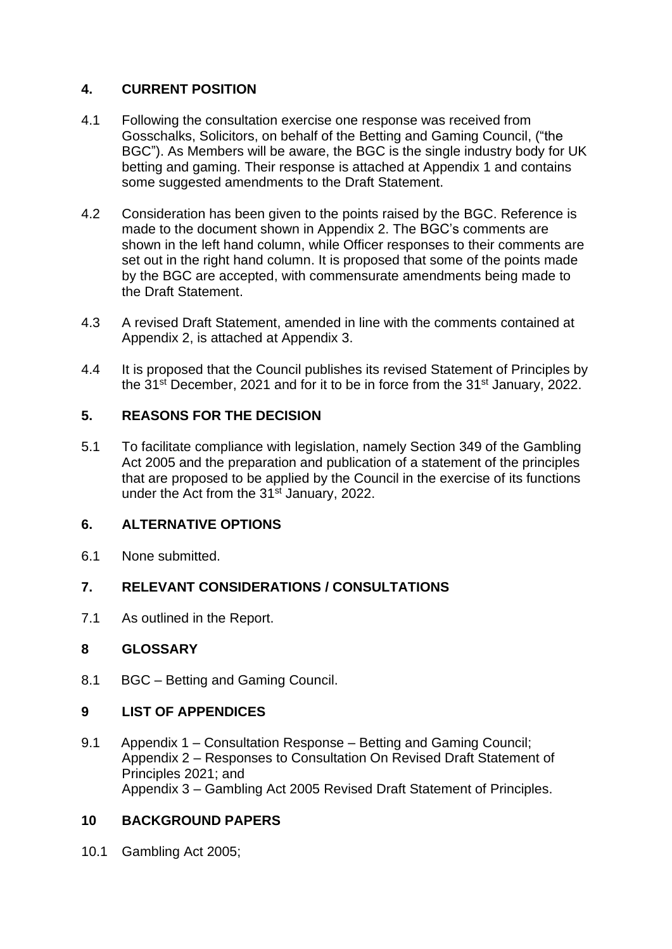# **4. CURRENT POSITION**

- 4.1 Following the consultation exercise one response was received from Gosschalks, Solicitors, on behalf of the Betting and Gaming Council, ("the BGC"). As Members will be aware, the BGC is the single industry body for UK betting and gaming. Their response is attached at Appendix 1 and contains some suggested amendments to the Draft Statement.
- 4.2 Consideration has been given to the points raised by the BGC. Reference is made to the document shown in Appendix 2. The BGC's comments are shown in the left hand column, while Officer responses to their comments are set out in the right hand column. It is proposed that some of the points made by the BGC are accepted, with commensurate amendments being made to the Draft Statement.
- 4.3 A revised Draft Statement, amended in line with the comments contained at Appendix 2, is attached at Appendix 3.
- 4.4 It is proposed that the Council publishes its revised Statement of Principles by the 31<sup>st</sup> December, 2021 and for it to be in force from the 31<sup>st</sup> January, 2022.

# **5. REASONS FOR THE DECISION**

5.1 To facilitate compliance with legislation, namely Section 349 of the Gambling Act 2005 and the preparation and publication of a statement of the principles that are proposed to be applied by the Council in the exercise of its functions under the Act from the 31<sup>st</sup> January, 2022.

# **6. ALTERNATIVE OPTIONS**

6.1 None submitted.

# **7. RELEVANT CONSIDERATIONS / CONSULTATIONS**

7.1 As outlined in the Report.

#### **8 GLOSSARY**

8.1 BGC – Betting and Gaming Council.

#### **9 LIST OF APPENDICES**

9.1 Appendix 1 – Consultation Response – Betting and Gaming Council; Appendix 2 – Responses to Consultation On Revised Draft Statement of Principles 2021; and Appendix 3 – Gambling Act 2005 Revised Draft Statement of Principles.

#### **10 BACKGROUND PAPERS**

10.1 Gambling Act 2005;